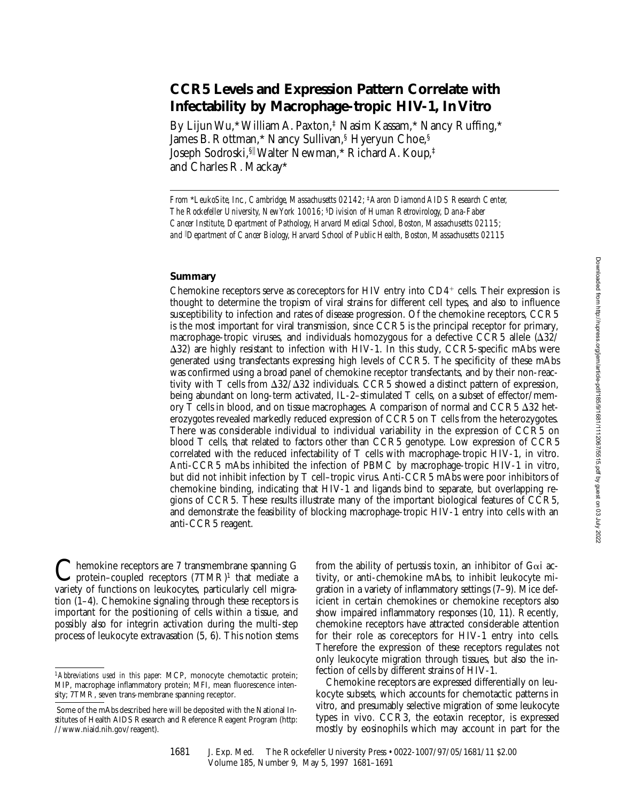# **CCR5 Levels and Expression Pattern Correlate with Infectability by Macrophage-tropic HIV-1, In Vitro**

By Lijun Wu,\* William A. Paxton,‡ Nasim Kassam,\* Nancy Ruffing,\* James B. Rottman,\* Nancy Sullivan,§ Hyeryun Choe,§ Joseph Sodroski,§<sup>i</sup> Walter Newman,\* Richard A. Koup,‡ and Charles R. Mackay\*

*From* \**LeukoSite, Inc., Cambridge, Massachusetts 02142;* ‡*Aaron Diamond AIDS Research Center, The Rockefeller University, New York 10016;* §*Division of Human Retrovirology, Dana-Faber Cancer Institute, Department of Pathology, Harvard Medical School, Boston, Massachusetts 02115; and* <sup>i</sup> *Department of Cancer Biology, Harvard School of Public Health, Boston, Massachusetts 02115*

#### **Summary**

Chemokine receptors serve as coreceptors for HIV entry into  $CD4^+$  cells. Their expression is thought to determine the tropism of viral strains for different cell types, and also to influence susceptibility to infection and rates of disease progression. Of the chemokine receptors, CCR5 is the most important for viral transmission, since CCR5 is the principal receptor for primary, macrophage-tropic viruses, and individuals homozygous for a defective CCR5 allele  $(\Delta 32/$  $\Delta$ 32) are highly resistant to infection with HIV-1. In this study, CCR5-specific mAbs were generated using transfectants expressing high levels of CCR5. The specificity of these mAbs was confirmed using a broad panel of chemokine receptor transfectants, and by their non-reactivity with T cells from  $\Delta 32/\Delta 32$  individuals. CCR5 showed a distinct pattern of expression, being abundant on long-term activated, IL-2-stimulated T cells, on a subset of effector/memory T cells in blood, and on tissue macrophages. A comparison of normal and CCR5  $\Delta$ 32 heterozygotes revealed markedly reduced expression of CCR5 on T cells from the heterozygotes. There was considerable individual to individual variability in the expression of CCR5 on blood T cells, that related to factors other than CCR5 genotype. Low expression of CCR5 correlated with the reduced infectability of T cells with macrophage-tropic HIV-1, in vitro. Anti-CCR5 mAbs inhibited the infection of PBMC by macrophage-tropic HIV-1 in vitro, but did not inhibit infection by T cell–tropic virus. Anti-CCR5 mAbs were poor inhibitors of chemokine binding, indicating that HIV-1 and ligands bind to separate, but overlapping regions of CCR5. These results illustrate many of the important biological features of CCR5, and demonstrate the feasibility of blocking macrophage-tropic HIV-1 entry into cells with an anti-CCR5 reagent.

 $\sum$ hemokine receptors are 7 transmembrane spanning G<br>protein–coupled receptors  $(7TMR)^1$  that mediate a<br>mixing of functions an hubbard methods all mixes variety of functions on leukocytes, particularly cell migration (1–4). Chemokine signaling through these receptors is important for the positioning of cells within a tissue, and possibly also for integrin activation during the multi-step process of leukocyte extravasation (5, 6). This notion stems

from the ability of pertussis toxin, an inhibitor of  $Ga$  activity, or anti-chemokine mAbs, to inhibit leukocyte migration in a variety of inflammatory settings (7–9). Mice deficient in certain chemokines or chemokine receptors also show impaired inflammatory responses (10, 11). Recently, chemokine receptors have attracted considerable attention for their role as coreceptors for HIV-1 entry into cells. Therefore the expression of these receptors regulates not only leukocyte migration through tissues, but also the infection of cells by different strains of HIV-1.

Chemokine receptors are expressed differentially on leukocyte subsets, which accounts for chemotactic patterns in vitro, and presumably selective migration of some leukocyte types in vivo. CCR3, the eotaxin receptor, is expressed mostly by eosinophils which may account in part for the

<sup>1</sup>*Abbreviations used in this paper:* MCP, monocyte chemotactic protein; MIP, macrophage inflammatory protein; MFI, mean fluorescence intensity; 7TMR, seven trans-membrane spanning receptor.

Some of the mAbs described here will be deposited with the National Institutes of Health AIDS Research and Reference Reagent Program (http: //www.niaid.nih.gov/reagent).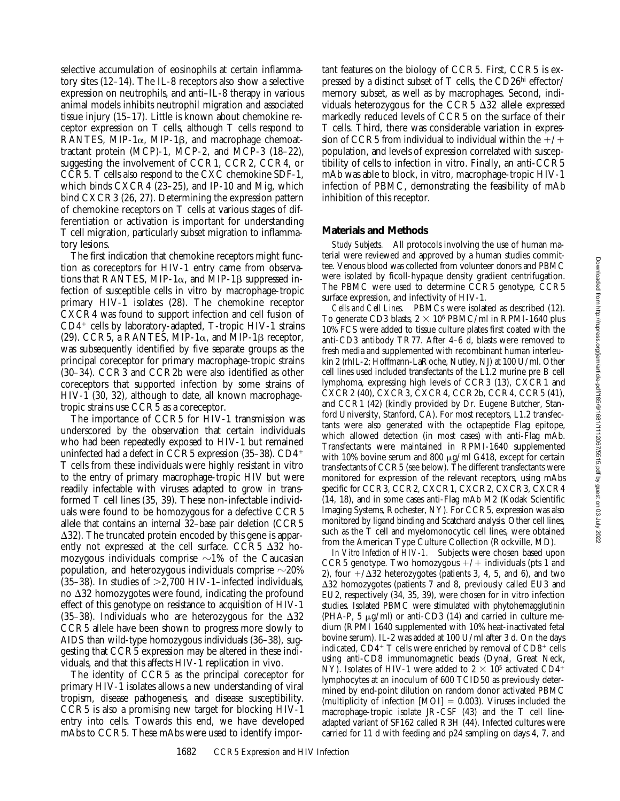selective accumulation of eosinophils at certain inflammatory sites (12–14). The IL-8 receptors also show a selective expression on neutrophils, and anti–IL-8 therapy in various animal models inhibits neutrophil migration and associated tissue injury (15–17). Little is known about chemokine receptor expression on T cells, although T cells respond to RANTES, MIP-1 $\alpha$ , MIP-1 $\beta$ , and macrophage chemoattractant protein (MCP)-1, MCP-2, and MCP-3 (18–22), suggesting the involvement of CCR1, CCR2, CCR4, or CCR5. T cells also respond to the CXC chemokine SDF-1, which binds CXCR4 (23–25), and IP-10 and Mig, which bind CXCR3 (26, 27). Determining the expression pattern of chemokine receptors on T cells at various stages of differentiation or activation is important for understanding T cell migration, particularly subset migration to inflammatory lesions.

The first indication that chemokine receptors might function as coreceptors for HIV-1 entry came from observations that RANTES, MIP-1 $\alpha$ , and MIP-1 $\beta$  suppressed infection of susceptible cells in vitro by macrophage-tropic primary HIV-1 isolates (28). The chemokine receptor CXCR4 was found to support infection and cell fusion of  $CD4<sup>+</sup>$  cells by laboratory-adapted, T-tropic HIV-1 strains (29). CCR5, a RANTES, MIP-1 $\alpha$ , and MIP-1 $\beta$  receptor, was subsequently identified by five separate groups as the principal coreceptor for primary macrophage-tropic strains (30–34). CCR3 and CCR2b were also identified as other coreceptors that supported infection by some strains of HIV-1 (30, 32), although to date, all known macrophagetropic strains use CCR5 as a coreceptor.

The importance of CCR5 for HIV-1 transmission was underscored by the observation that certain individuals who had been repeatedly exposed to HIV-1 but remained uninfected had a defect in CCR5 expression (35–38).  $CD4+$ T cells from these individuals were highly resistant in vitro to the entry of primary macrophage-tropic HIV but were readily infectable with viruses adapted to grow in transformed T cell lines (35, 39). These non-infectable individuals were found to be homozygous for a defective CCR5 allele that contains an internal 32–base pair deletion (CCR5  $\Delta$ 32). The truncated protein encoded by this gene is apparently not expressed at the cell surface. CCR5  $\Delta$ 32 homozygous individuals comprise  $\sim$ 1% of the Caucasian population, and heterozygous individuals comprise  $\sim$ 20% (35–38). In studies of  $\geq$  2,700 HIV-1–infected individuals, no  $\Delta 32$  homozygotes were found, indicating the profound effect of this genotype on resistance to acquisition of HIV-1 (35–38). Individuals who are heterozygous for the  $\Delta 32$ CCR5 allele have been shown to progress more slowly to AIDS than wild-type homozygous individuals (36–38), suggesting that CCR5 expression may be altered in these individuals, and that this affects HIV-1 replication in vivo.

The identity of CCR5 as the principal coreceptor for primary HIV-1 isolates allows a new understanding of viral tropism, disease pathogenesis, and disease susceptibility. CCR5 is also a promising new target for blocking HIV-1 entry into cells. Towards this end, we have developed mAbs to CCR5. These mAbs were used to identify impor-

tant features on the biology of CCR5. First, CCR5 is expressed by a distinct subset of T cells, the CD26hi effector/ memory subset, as well as by macrophages. Second, individuals heterozygous for the CCR5  $\Delta$ 32 allele expressed markedly reduced levels of CCR5 on the surface of their T cells. Third, there was considerable variation in expression of CCR5 from individual to individual within the  $+/+$ population, and levels of expression correlated with susceptibility of cells to infection in vitro. Finally, an anti-CCR5 mAb was able to block, in vitro, macrophage-tropic HIV-1 infection of PBMC, demonstrating the feasibility of mAb inhibition of this receptor.

### **Materials and Methods**

*Study Subjects.* All protocols involving the use of human material were reviewed and approved by a human studies committee. Venous blood was collected from volunteer donors and PBMC were isolated by ficoll-hypaque density gradient centrifugation. The PBMC were used to determine CCR5 genotype, CCR5 surface expression, and infectivity of HIV-1.

*Cells and Cell Lines.* PBMCs were isolated as described (12). To generate CD3 blasts,  $2 \times 10^6$  PBMC/ml in RPMI-1640 plus 10% FCS were added to tissue culture plates first coated with the anti-CD3 antibody TR77. After 4–6 d, blasts were removed to fresh media and supplemented with recombinant human interleukin 2 (rhIL-2; Hoffmann-LaRoche, Nutley, NJ) at 100 U/ml. Other cell lines used included transfectants of the L1.2 murine pre B cell lymphoma, expressing high levels of CCR3 (13), CXCR1 and CXCR2 (40), CXCR3, CXCR4, CCR2b, CCR4, CCR5 (41), and CCR1 (42) (kindly provided by Dr. Eugene Butcher, Stanford University, Stanford, CA). For most receptors, L1.2 transfectants were also generated with the octapeptide Flag epitope, which allowed detection (in most cases) with anti-Flag mAb. Transfectants were maintained in RPMI-1640 supplemented with 10% bovine serum and 800  $\mu$ g/ml G418, except for certain transfectants of CCR5 (see below). The different transfectants were monitored for expression of the relevant receptors, using mAbs specific for CCR3, CCR2, CXCR1, CXCR2, CXCR3, CXCR4 (14, 18), and in some cases anti-Flag mAb M2 (Kodak Scientific Imaging Systems, Rochester, NY). For CCR5, expression was also monitored by ligand binding and Scatchard analysis. Other cell lines, such as the T cell and myelomonocytic cell lines, were obtained from the American Type Culture Collection (Rockville, MD).

*In Vitro Infection of HIV-1.* Subjects were chosen based upon CCR5 genotype. Two homozygous  $+/+$  individuals (pts 1 and 2), four  $+\Delta 32$  heterozygotes (patients 3, 4, 5, and 6), and two  $\Delta$ 32 homozygotes (patients 7 and 8, previously called EU3 and EU2, respectively (34, 35, 39), were chosen for in vitro infection studies. Isolated PBMC were stimulated with phytohemagglutinin (PHA-P,  $5 \mu g/ml$ ) or anti-CD3 (14) and carried in culture medium (RPMI 1640 supplemented with 10% heat-inactivated fetal bovine serum). IL-2 was added at 100 U/ml after 3 d. On the days indicated,  $CD4^+$  T cells were enriched by removal of  $CD8^+$  cells using anti-CD8 immunomagnetic beads (Dynal, Great Neck, NY). Isolates of HIV-1 were added to  $2 \times 10^5$  activated CD4<sup>+</sup> lymphocytes at an inoculum of 600 TCID50 as previously determined by end-point dilution on random donor activated PBMC (multiplicity of infection  $[MOI] = 0.003$ ). Viruses included the macrophage-tropic isolate JR-CSF (43) and the T cell lineadapted variant of SF162 called R3H (44). Infected cultures were carried for 11 d with feeding and p24 sampling on days 4, 7, and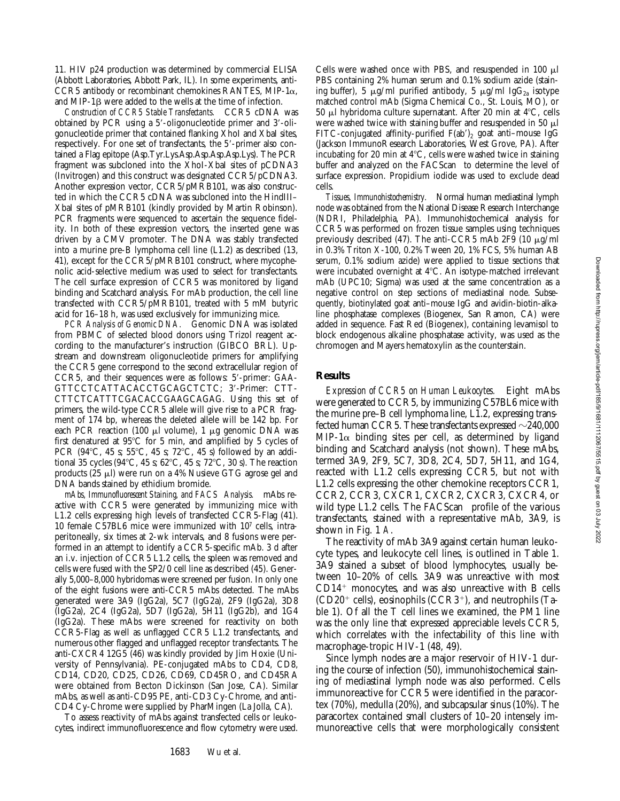11. HIV p24 production was determined by commercial ELISA (Abbott Laboratories, Abbott Park, IL). In some experiments, anti-CCR5 antibody or recombinant chemokines RANTES, MIP-1 $\alpha$ , and MIP-1 $\beta$  were added to the wells at the time of infection.

*Construction of CCR5 Stable Transfectants.* CCR5 cDNA was obtained by PCR using a 5'-oligonucleotide primer and 3'-oligonucleotide primer that contained flanking XhoI and XbaI sites, respectively. For one set of transfectants, the 5'-primer also contained a Flag epitope (Asp.Tyr.Lys.Asp.Asp.Asp.Asp.Lys). The PCR fragment was subcloned into the XhoI-XbaI sites of pCDNA3 (Invitrogen) and this construct was designated CCR5/pCDNA3. Another expression vector, CCR5/pMRB101, was also constructed in which the CCR5 cDNA was subcloned into the HindIII– XbaI sites of pMRB101 (kindly provided by Martin Robinson). PCR fragments were sequenced to ascertain the sequence fidelity. In both of these expression vectors, the inserted gene was driven by a CMV promoter. The DNA was stably transfected into a murine pre-B lymphoma cell line (L1.2) as described (13, 41), except for the CCR5/pMRB101 construct, where mycophenolic acid-selective medium was used to select for transfectants. The cell surface expression of CCR5 was monitored by ligand binding and Scatchard analysis. For mAb production, the cell line transfected with CCR5/pMRB101, treated with 5 mM butyric acid for 16–18 h, was used exclusively for immunizing mice.

*PCR Analysis of Genomic DNA.* Genomic DNA was isolated from PBMC of selected blood donors using Trizol reagent according to the manufacturer's instruction (GIBCO BRL). Upstream and downstream oligonucleotide primers for amplifying the CCR5 gene correspond to the second extracellular region of CCR5, and their sequences were as follows: 5'-primer: GAA-GTTCCTCATTACACCTGCAGCTCTC; 3'-Primer: CTT-CTTCTCATTTCGACACCGAAGCAGAG. Using this set of primers, the wild-type CCR5 allele will give rise to a PCR fragment of 174 bp, whereas the deleted allele will be 142 bp. For each PCR reaction (100  $\mu$ l volume), 1  $\mu$ g genomic DNA was first denatured at  $95^{\circ}$ C for 5 min, and amplified by 5 cycles of PCR (94 $\degree$ C, 45 s; 55 $\degree$ C, 45 s; 72 $\degree$ C, 45 s) followed by an additional 35 cycles (94°C, 45 s; 62°C, 45 s; 72°C, 30 s). The reaction products ( $25 \mu$ l) were run on a 4% Nusieve GTG agrose gel and DNA bands stained by ethidium bromide.

*mAbs, Immunofluorescent Staining, and FACS Analysis.* mAbs reactive with CCR5 were generated by immunizing mice with L1.2 cells expressing high levels of transfected CCR5-Flag (41). 10 female C57BL6 mice were immunized with 107 cells, intraperitoneally, six times at 2-wk intervals, and 8 fusions were performed in an attempt to identify a CCR5-specific mAb. 3 d after an i.v. injection of CCR5 L1.2 cells, the spleen was removed and cells were fused with the SP2/0 cell line as described (45). Generally 5,000–8,000 hybridomas were screened per fusion. In only one of the eight fusions were anti-CCR5 mAbs detected. The mAbs generated were 3A9 (IgG2a), 5C7 (IgG2a), 2F9 (IgG2a), 3D8 (IgG2a), 2C4 (IgG2a), 5D7 (IgG2a), 5H11 (IgG2b), and 1G4 (IgG2a). These mAbs were screened for reactivity on both CCR5-Flag as well as unflagged CCR5 L1.2 transfectants, and numerous other flagged and unflagged receptor transfectants. The anti-CXCR4 12G5 (46) was kindly provided by Jim Hoxie (University of Pennsylvania). PE-conjugated mAbs to CD4, CD8, CD14, CD20, CD25, CD26, CD69, CD45RO, and CD45RA were obtained from Becton Dickinson (San Jose, CA). Similar mAbs, as well as anti-CD95 PE, anti-CD3 Cy-Chrome, and anti-CD4 Cy-Chrome were supplied by PharMingen (La Jolla, CA).

To assess reactivity of mAbs against transfected cells or leukocytes, indirect immunofluorescence and flow cytometry were used.

Cells were washed once with PBS, and resuspended in 100  $\mu$ l PBS containing 2% human serum and 0.1% sodium azide (staining buffer), 5  $\mu$ g/ml purified antibody, 5  $\mu$ g/ml IgG<sub>2a</sub> isotype matched control mAb (Sigma Chemical Co., St. Louis, MO), or 50  $\mu$ l hybridoma culture supernatant. After 20 min at 4°C, cells were washed twice with staining buffer and resuspended in 50  $\mu$ l FITC-conjugated affinity-purified  $F(ab')_2$  goat anti-mouse IgG (Jackson ImmunoResearch Laboratories, West Grove, PA). After incubating for 20 min at  $4^{\circ}$ C, cells were washed twice in staining buffer and analyzed on the FACScan® to determine the level of surface expression. Propidium iodide was used to exclude dead cells.

*Tissues, Immunohistochemistry.* Normal human mediastinal lymph node was obtained from the National Disease Research Interchange (NDRI, Philadelphia, PA). Immunohistochemical analysis for CCR5 was performed on frozen tissue samples using techniques previously described (47). The anti-CCR5 mAb 2F9 (10  $\mu$ g/ml in 0.3% Triton X-100, 0.2% Tween 20, 1% FCS, 5% human AB serum, 0.1% sodium azide) were applied to tissue sections that were incubated overnight at 4°C. An isotype-matched irrelevant mAb (UPC10; Sigma) was used at the same concentration as a negative control on step sections of mediastinal node. Subsequently, biotinylated goat anti–mouse IgG and avidin-biotin-alkaline phosphatase complexes (Biogenex, San Ramon, CA) were added in sequence. Fast Red (Biogenex), containing levamisol to block endogenous alkaline phosphatase activity, was used as the chromogen and Mayers hematoxylin as the counterstain.

## **Results**

*Expression of CCR5 on Human Leukocytes.* Eight mAbs were generated to CCR5, by immunizing C57BL6 mice with the murine pre–B cell lymphoma line, L1.2, expressing transfected human CCR5. These transfectants expressed  $\sim$ 240,000 MIP-1 $\alpha$  binding sites per cell, as determined by ligand binding and Scatchard analysis (not shown). These mAbs, termed 3A9, 2F9, 5C7, 3D8, 2C4, 5D7, 5H11, and 1G4, reacted with L1.2 cells expressing CCR5, but not with L1.2 cells expressing the other chemokine receptors CCR1, CCR2, CCR3, CXCR1, CXCR2, CXCR3, CXCR4, or wild type  $L1.2$  cells. The FACScan<sup>®</sup> profile of the various transfectants, stained with a representative mAb, 3A9, is shown in Fig. 1 *A*.

The reactivity of mAb 3A9 against certain human leukocyte types, and leukocyte cell lines, is outlined in Table 1. 3A9 stained a subset of blood lymphocytes, usually between 10–20% of cells. 3A9 was unreactive with most  $CD14<sup>+</sup>$  monocytes, and was also unreactive with B cells  $(CD20<sup>+</sup>$  cells), eosinophils  $(CCR3<sup>+</sup>)$ , and neutrophils (Table 1). Of all the T cell lines we examined, the PM1 line was the only line that expressed appreciable levels CCR5, which correlates with the infectability of this line with macrophage-tropic HIV-1 (48, 49).

Since lymph nodes are a major reservoir of HIV-1 during the course of infection (50), immunohistochemical staining of mediastinal lymph node was also performed. Cells immunoreactive for CCR5 were identified in the paracortex (70%), medulla (20%), and subcapsular sinus (10%). The paracortex contained small clusters of 10–20 intensely immunoreactive cells that were morphologically consistent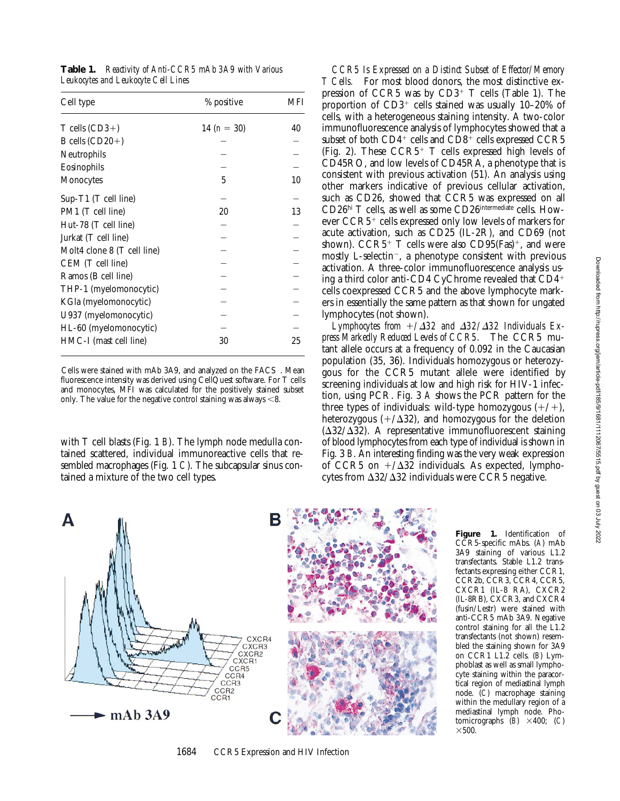| Cell type                   | % positive    | MFI |
|-----------------------------|---------------|-----|
| $T$ cells $(CD3+)$          | 14 $(n = 30)$ | 40  |
| B cells $(CD20+)$           |               |     |
| Neutrophils                 |               |     |
| Eosinophils                 |               |     |
| Monocytes                   | 5             | 10  |
| Sup-T1 (T cell line)        |               |     |
| PM1 (T cell line)           | 20            | 13  |
| Hut-78 (T cell line)        |               |     |
| Jurkat (T cell line)        |               |     |
| Molt4 clone 8 (T cell line) |               |     |
| CEM (T cell line)           |               |     |
| Ramos (B cell line)         |               |     |
| THP-1 (myelomonocytic)      |               |     |
| KGla (myelomonocytic)       |               |     |
| U937 (myelomonocytic)       |               |     |
| HL-60 (myelomonocytic)      |               |     |
| HMC-I (mast cell line)      | 30            | 25  |

**Table 1.** *Reactivity of Anti-CCR5 mAb 3A9 with Various Leukocytes and Leukocyte Cell Lines*

Cells were stained with mAb 3A9, and analyzed on the FACS®. Mean fluorescence intensity was derived using CellQuest software. For T cells and monocytes, MFI was calculated for the positively stained subset only. The value for the negative control staining was always  $<$ 8.

with T cell blasts (Fig. 1 *B*). The lymph node medulla contained scattered, individual immunoreactive cells that resembled macrophages (Fig. 1 *C*). The subcapsular sinus contained a mixture of the two cell types.

*CCR5 Is Expressed on a Distinct Subset of Effector/Memory T Cells.* For most blood donors, the most distinctive expression of CCR5 was by  $CD3^+$  T cells (Table 1). The proportion of  $CD3^+$  cells stained was usually 10–20% of cells, with a heterogeneous staining intensity. A two-color immunofluorescence analysis of lymphocytes showed that a subset of both  $CD4^+$  cells and  $CD8^+$  cells expressed CCR5 (Fig. 2). These  $CCR5^+$  T cells expressed high levels of CD45RO, and low levels of CD45RA, a phenotype that is consistent with previous activation (51). An analysis using other markers indicative of previous cellular activation, such as CD26, showed that CCR5 was expressed on all CD26hi T cells, as well as some CD26intermediate cells. However  $CCR5<sup>+</sup>$  cells expressed only low levels of markers for acute activation, such as CD25 (IL-2R), and CD69 (not shown).  $CCR5+T$  cells were also  $CD95(Fas)^+$ , and were mostly L-selectin<sup>-</sup>, a phenotype consistent with previous activation. A three-color immunofluorescence analysis using a third color anti-CD4 CyChrome revealed that  $CD4<sup>+</sup>$ cells coexpressed CCR5 and the above lymphocyte markers in essentially the same pattern as that shown for ungated lymphocytes (not shown).

Lymphocytes from  $+\triangle 32$  and  $\triangle 32/\triangle 32$  Individuals Ex*press Markedly Reduced Levels of CCR5.* The CCR5 mutant allele occurs at a frequency of 0.092 in the Caucasian population (35, 36). Individuals homozygous or heterozygous for the CCR5 mutant allele were identified by screening individuals at low and high risk for HIV-1 infection, using PCR. Fig. 3 *A* shows the PCR pattern for the three types of individuals: wild-type homozygous  $(+/+)$ , heterozygous  $(+/\Delta 32)$ , and homozygous for the deletion  $(\Delta 32/\Delta 32)$ . A representative immunofluorescent staining of blood lymphocytes from each type of individual is shown in Fig. 3 *B*. An interesting finding was the very weak expression of CCR5 on  $+\triangle$ 32 individuals. As expected, lymphocytes from  $\Delta 32/\Delta 32$  individuals were CCR5 negative.



**Figure 1.** Identification of CCR5-specific mAbs. (*A*) mAb 3A9 staining of various L1.2 transfectants. Stable L1.2 transfectants expressing either CCR1, CCR2b, CCR3, CCR4, CCR5, CXCR1 (IL-8 RA), CXCR2 (IL-8RB), CXCR3, and CXCR4 (fusin/Lestr) were stained with anti-CCR5 mAb 3A9. Negative control staining for all the L1.2 transfectants (not shown) resembled the staining shown for 3A9 on CCR1 L1.2 cells. (*B*) Lymphoblast as well as small lymphocyte staining within the paracortical region of mediastinal lymph node. (*C*) macrophage staining within the medullary region of a mediastinal lymph node. Photomicrographs  $(B) \times 400$ ; (*C*)  $\times$ 500.

1684 CCR5 Expression and HIV Infection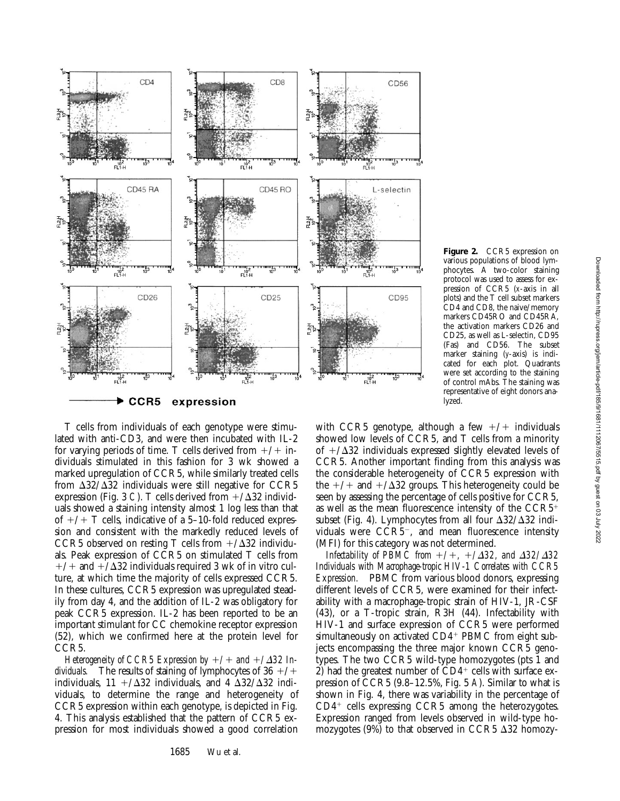

various populations of blood lymphocytes. A two-color staining protocol was used to assess for expression of CCR5 (*x*-axis in all plots) and the T cell subset markers CD4 and CD8, the naive/memory markers CD45RO and CD45RA, the activation markers CD26 and CD25, as well as L-selectin, CD95 (Fas) and CD56. The subset marker staining (*y*-axis) is indicated for each plot. Quadrants were set according to the staining of control mAbs. The staining was representative of eight donors analyzed.

**Figure 2.** CCR5 expression on

T cells from individuals of each genotype were stimulated with anti-CD3, and were then incubated with IL-2 for varying periods of time. T cells derived from  $+/+$  individuals stimulated in this fashion for 3 wk showed a marked upregulation of CCR5, while similarly treated cells from  $\Delta$ 32/ $\Delta$ 32 individuals were still negative for CCR5 expression (Fig. 3 *C*). T cells derived from  $+\Delta 32$  individuals showed a staining intensity almost 1 log less than that of  $+/+T$  cells, indicative of a 5–10-fold reduced expression and consistent with the markedly reduced levels of CCR5 observed on resting T cells from  $+\Delta 32$  individuals. Peak expression of CCR5 on stimulated T cells from  $+/-$  and  $+/\Delta 32$  individuals required 3 wk of in vitro culture, at which time the majority of cells expressed CCR5. In these cultures, CCR5 expression was upregulated steadily from day 4, and the addition of IL-2 was obligatory for peak CCR5 expression. IL-2 has been reported to be an important stimulant for CC chemokine receptor expression (52), which we confirmed here at the protein level for CCR5.

*Heterogeneity of CCR5 Expression by*  $+/-$  and  $+/\Delta 32$  In*dividuals.* The results of staining of lymphocytes of  $36 + / +$ individuals,  $11 + / \Delta 32$  individuals, and 4  $\Delta 32 / \Delta 32$  individuals, to determine the range and heterogeneity of CCR5 expression within each genotype, is depicted in Fig. 4. This analysis established that the pattern of CCR5 expression for most individuals showed a good correlation

1685 Wu et al.

with CCR5 genotype, although a few  $+/+$  individuals showed low levels of CCR5, and T cells from a minority of  $+\Delta 32$  individuals expressed slightly elevated levels of CCR5. Another important finding from this analysis was the considerable heterogeneity of CCR5 expression with the  $+/+$  and  $+/\Delta 32$  groups. This heterogeneity could be seen by assessing the percentage of cells positive for CCR5, as well as the mean fluorescence intensity of the  $CCR5<sup>+</sup>$ subset (Fig. 4). Lymphocytes from all four  $\Delta 32/\Delta 32$  individuals were  $CCR\bar{5}^-$ , and mean fluorescence intensity (MFI) for this category was not determined.

*Infectability of PBMC from*  $+/-$ ,  $+/\Delta 32$ , and  $\Delta 32/\Delta 32$ *Individuals with Macrophage-tropic HIV-1 Correlates with CCR5 Expression.* PBMC from various blood donors, expressing different levels of CCR5, were examined for their infectability with a macrophage-tropic strain of HIV-1, JR-CSF (43), or a T-tropic strain, R3H (44). Infectability with HIV-1 and surface expression of CCR5 were performed simultaneously on activated  $CD4$ <sup>+</sup> PBMC from eight subjects encompassing the three major known CCR5 genotypes. The two CCR5 wild-type homozygotes (pts 1 and 2) had the greatest number of  $CD4^+$  cells with surface expression of CCR5 (9.8–12.5%, Fig. 5 *A*). Similar to what is shown in Fig. 4, there was variability in the percentage of  $CD4^+$  cells expressing CCR5 among the heterozygotes. Expression ranged from levels observed in wild-type homozygotes (9%) to that observed in CCR5  $\Delta$ 32 homozy-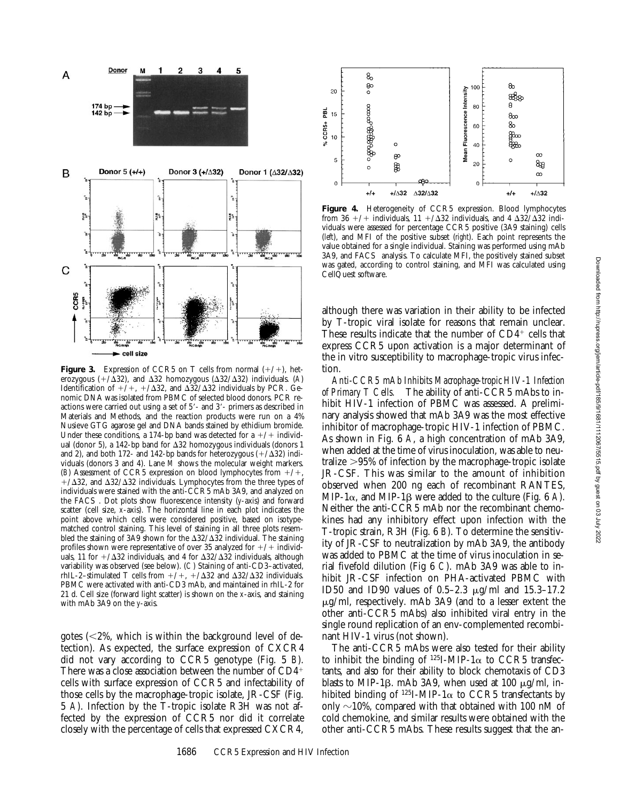

**Figure 3.** Expression of CCR5 on T cells from normal  $(+/+)$ , heterozygous  $(+/\overline{\Delta}32)$ , and  $\Delta 32$  homozygous ( $\Delta 32/\Delta 32$ ) individuals. (*A*) Identification of  $+/+$ ,  $+/\Delta 32$ , and  $\Delta 32/\Delta 32$  individuals by PCR. Genomic DNA was isolated from PBMC of selected blood donors. PCR reactions were carried out using a set of  $5'$ - and  $3'$ - primers as described in Materials and Methods, and the reaction products were run on a 4% Nusieve GTG agarose gel and DNA bands stained by ethidium bromide. Under these conditions, a 174-bp band was detected for a  $+/+$  individual (donor 5), a 142-bp band for  $\Delta 32$  homozygous individuals (donors 1 and 2), and both 172- and 142-bp bands for heterozygous  $(+/\Delta 32)$  individuals (donors 3 and 4). Lane *M* shows the molecular weight markers. (*B*) Assessment of CCR5 expression on blood lymphocytes from  $+/+,$  $+\Delta 32$ , and  $\Delta 32/\Delta 32$  individuals. Lymphocytes from the three types of individuals were stained with the anti-CCR5 mAb 3A9, and analyzed on the FACS<sup>®</sup>. Dot plots show fluorescence intensity (*y*-axis) and forward scatter (cell size, *x*-axis). The horizontal line in each plot indicates the point above which cells were considered positive, based on isotypematched control staining. This level of staining in all three plots resembled the staining of 3A9 shown for the  $\Delta 32/\Delta 32$  individual. The staining profiles shown were representative of over 35 analyzed for  $+/+$  individuals, 11 for  $+\triangle 32$  individuals, and 4 for  $\triangle 32/\triangle 32$  individuals, although variability was observed (see below). (*C*) Staining of anti-CD3–activated, rhIL-2-stimulated T cells from  $+/+$ ,  $+/\Delta 32$  and  $\Delta 32/\Delta 32$  individuals. PBMC were activated with anti-CD3 mAb, and maintained in rhIL-2 for 21 d. Cell size (forward light scatter) is shown on the *x*-axis, and staining with mAb 3A9 on the *y*-axis.

gotes  $\langle$  <2%, which is within the background level of detection). As expected, the surface expression of CXCR4 did not vary according to CCR5 genotype (Fig. 5 *B*). There was a close association between the number of  $CD4<sup>+</sup>$ cells with surface expression of CCR5 and infectability of those cells by the macrophage-tropic isolate, JR-CSF (Fig. 5 *A*). Infection by the T-tropic isolate R3H was not affected by the expression of CCR5 nor did it correlate closely with the percentage of cells that expressed CXCR4,



**Figure 4.** Heterogeneity of CCR5 expression. Blood lymphocytes from 36 +/+ individuals, 11 +/ $\Delta$ 32 individuals, and 4  $\Delta$ 32/ $\Delta$ 32 individuals were assessed for percentage CCR5 positive (3A9 staining) cells (*left*), and MFI of the positive subset (*right*). Each point represents the value obtained for a single individual. Staining was performed using mAb 3A9, and FACS® analysis. To calculate MFI, the positively stained subset was gated, according to control staining, and MFI was calculated using CellQuest software.

although there was variation in their ability to be infected by T-tropic viral isolate for reasons that remain unclear. These results indicate that the number of  $CD4^+$  cells that express CCR5 upon activation is a major determinant of the in vitro susceptibility to macrophage-tropic virus infection.

*Anti-CCR5 mAb Inhibits Macrophage-tropic HIV-1 Infection of Primary T Cells.* The ability of anti-CCR5 mAbs to inhibit HIV-1 infection of PBMC was assessed. A preliminary analysis showed that mAb 3A9 was the most effective inhibitor of macrophage-tropic HIV-1 infection of PBMC. As shown in Fig. 6 *A*, a high concentration of mAb 3A9, when added at the time of virus inoculation, was able to neutralize  $>95\%$  of infection by the macrophage-tropic isolate JR-CSF. This was similar to the amount of inhibition observed when 200 ng each of recombinant RANTES, MIP-1 $\alpha$ , and MIP-1 $\beta$  were added to the culture (Fig. 6 A). Neither the anti-CCR5 mAb nor the recombinant chemokines had any inhibitory effect upon infection with the T-tropic strain, R3H (Fig. 6 *B*). To determine the sensitivity of JR-CSF to neutralization by mAb 3A9, the antibody was added to PBMC at the time of virus inoculation in serial fivefold dilution (Fig 6 *C*). mAb 3A9 was able to inhibit JR-CSF infection on PHA-activated PBMC with ID50 and ID90 values of  $0.5-2.3 \mu g/ml$  and  $15.3-17.2$  $\mu$ g/ml, respectively. mAb 3A9 (and to a lesser extent the other anti-CCR5 mAbs) also inhibited viral entry in the single round replication of an env-complemented recombinant HIV-1 virus (not shown).

The anti-CCR5 mAbs were also tested for their ability to inhibit the binding of  $^{125}I-MIP-1\alpha$  to CCR5 transfectants, and also for their ability to block chemotaxis of CD3 blasts to MIP-1 $\beta$ . mAb 3A9, when used at 100  $\mu$ g/ml, inhibited binding of  $^{125}I-MIP-1\alpha$  to CCR5 transfectants by only  $\sim$ 10%, compared with that obtained with 100 nM of cold chemokine, and similar results were obtained with the other anti-CCR5 mAbs. These results suggest that the an-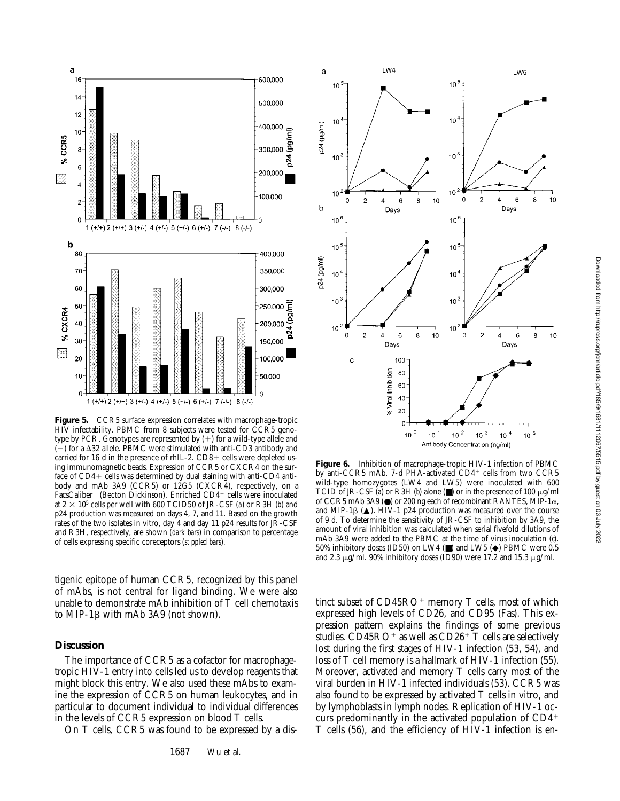

Figure 5. CCR5 surface expression correlates with macrophage-tropic HIV infectability. PBMC from 8 subjects were tested for CCR5 genotype by PCR. Genotypes are represented by  $(+)$  for a wild-type allele and  $(-)$  for a  $\Delta$ 32 allele. PBMC were stimulated with anti-CD3 antibody and carried for 16 d in the presence of rhIL-2.  $CD8+$  cells were depleted using immunomagnetic beads. Expression of CCR5 or CXCR4 on the surface of  $CD4+$  cells was determined by dual staining with anti-CD4 antibody and mAb 3A9 (CCR5) or 12G5 (CXCR4), respectively, on a FacsCaliber® (Becton Dickinson). Enriched CD4+ cells were inoculated at  $2 \times 10^5$  cells per well with 600 TCID50 of JR-CSF (*a*) or R3H (*b*) and p24 production was measured on days 4, 7, and 11. Based on the growth rates of the two isolates in vitro, day 4 and day 11 p24 results for JR-CSF and R3H, respectively, are shown (*dark bars*) in comparison to percentage of cells expressing specific coreceptors (*stippled bars*).

tigenic epitope of human CCR5, recognized by this panel of mAbs, is not central for ligand binding. We were also unable to demonstrate mAb inhibition of T cell chemotaxis to MIP-1 $\beta$  with mAb 3A9 (not shown).

### **Discussion**

The importance of CCR5 as a cofactor for macrophagetropic HIV-1 entry into cells led us to develop reagents that might block this entry. We also used these mAbs to examine the expression of CCR5 on human leukocytes, and in particular to document individual to individual differences in the levels of CCR5 expression on blood T cells.

On T cells, CCR5 was found to be expressed by a dis-



**Figure 6.** Inhibition of macrophage-tropic HIV-1 infection of PBMC by anti-CCR5 mAb. 7-d PHA-activated CD4+ cells from two CCR5 wild-type homozygotes (LW4 and LW5) were inoculated with 600 TCID of JR-CSF ( $\tilde{a}$ ) or R3H ( $b$ ) alone ( $\blacksquare$ ) or in the presence of 100  $\mu$ g/ml of CCR5 mAb 3A9  $\circledbullet$  or 200 ng each of recombinant RANTES, MIP-1 $\alpha$ , and MIP-1 $\beta$  ( $\blacktriangle$ ). HIV-1 p24 production was measured over the course of 9 d. To determine the sensitivity of JR-CSF to inhibition by 3A9, the amount of viral inhibition was calculated when serial fivefold dilutions of mAb 3A9 were added to the PBMC at the time of virus inoculation (*c*). 50% inhibitory doses (ID50) on LW4 (■) and LW5 (◆) PBMC were 0.5 and 2.3  $\mu$ g/ml. 90% inhibitory doses (ID90) were 17.2 and 15.3  $\mu$ g/ml.

tinct subset of CD45RO<sup>+</sup> memory T cells, most of which expressed high levels of CD26, and CD95 (Fas). This expression pattern explains the findings of some previous studies.  $CD45RO<sup>+</sup>$  as well as  $CD26<sup>+</sup>$  T cells are selectively lost during the first stages of HIV-1 infection (53, 54), and loss of T cell memory is a hallmark of HIV-1 infection (55). Moreover, activated and memory T cells carry most of the viral burden in HIV-1 infected individuals (53). CCR5 was also found to be expressed by activated T cells in vitro, and by lymphoblasts in lymph nodes. Replication of HIV-1 occurs predominantly in the activated population of  $CD4<sup>+</sup>$ T cells (56), and the efficiency of HIV-1 infection is en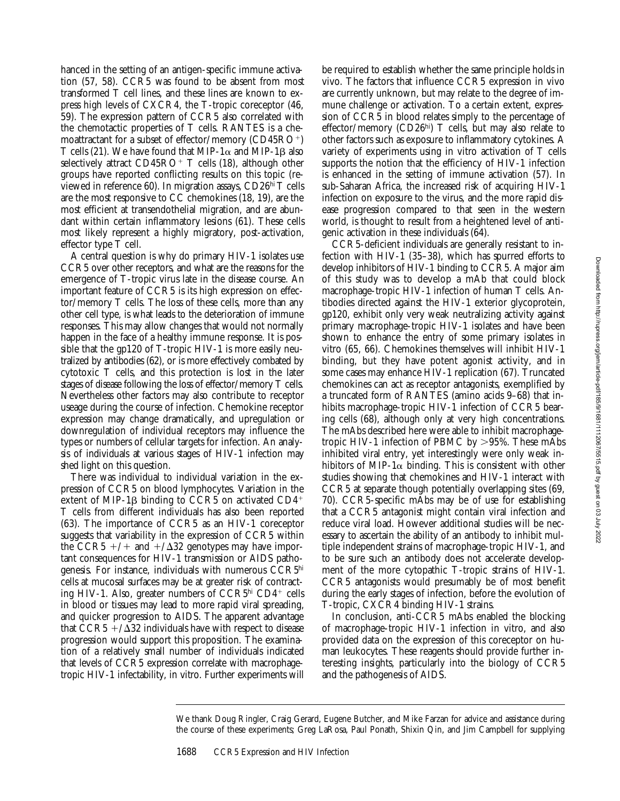hanced in the setting of an antigen-specific immune activation (57, 58). CCR5 was found to be absent from most transformed T cell lines, and these lines are known to express high levels of CXCR4, the T-tropic coreceptor (46, 59). The expression pattern of CCR5 also correlated with the chemotactic properties of T cells. RANTES is a chemoattractant for a subset of effector/memory  $(CD45RO<sup>+</sup>)$ T cells (21). We have found that MIP-1 $\alpha$  and MIP-1 $\beta$  also selectively attract  $CD45RO+T$  cells (18), although other groups have reported conflicting results on this topic (reviewed in reference 60). In migration assays, CD26hi T cells are the most responsive to CC chemokines (18, 19), are the most efficient at transendothelial migration, and are abundant within certain inflammatory lesions (61). These cells most likely represent a highly migratory, post-activation, effector type T cell.

A central question is why do primary HIV-1 isolates use CCR5 over other receptors, and what are the reasons for the emergence of T-tropic virus late in the disease course. An important feature of CCR5 is its high expression on effector/memory T cells. The loss of these cells, more than any other cell type, is what leads to the deterioration of immune responses. This may allow changes that would not normally happen in the face of a healthy immune response. It is possible that the gp120 of T-tropic HIV-1 is more easily neutralized by antibodies (62), or is more effectively combated by cytotoxic T cells, and this protection is lost in the later stages of disease following the loss of effector/memory T cells. Nevertheless other factors may also contribute to receptor useage during the course of infection. Chemokine receptor expression may change dramatically, and upregulation or downregulation of individual receptors may influence the types or numbers of cellular targets for infection. An analysis of individuals at various stages of HIV-1 infection may shed light on this question.

There was individual to individual variation in the expression of CCR5 on blood lymphocytes. Variation in the extent of MIP-1 $\beta$  binding to CCR5 on activated CD4<sup>+</sup> T cells from different individuals has also been reported (63). The importance of CCR5 as an HIV-1 coreceptor suggests that variability in the expression of CCR5 within the CCR5  $+/+$  and  $+/\Delta 32$  genotypes may have important consequences for HIV-1 transmission or AIDS pathogenesis. For instance, individuals with numerous CCR5hi cells at mucosal surfaces may be at greater risk of contracting HIV-1. Also, greater numbers of  $CCR5<sup>hi</sup> CD4<sup>+</sup>$  cells in blood or tissues may lead to more rapid viral spreading, and quicker progression to AIDS. The apparent advantage that  $\overline{CCR5}$  +/ $\overline{\Delta}32$  individuals have with respect to disease progression would support this proposition. The examination of a relatively small number of individuals indicated that levels of CCR5 expression correlate with macrophagetropic HIV-1 infectability, in vitro. Further experiments will be required to establish whether the same principle holds in vivo. The factors that influence CCR5 expression in vivo are currently unknown, but may relate to the degree of immune challenge or activation. To a certain extent, expression of CCR5 in blood relates simply to the percentage of effector/memory (CD26<sup>hi</sup>) T cells, but may also relate to other factors such as exposure to inflammatory cytokines. A variety of experiments using in vitro activation of T cells supports the notion that the efficiency of HIV-1 infection is enhanced in the setting of immune activation (57). In sub-Saharan Africa, the increased risk of acquiring HIV-1 infection on exposure to the virus, and the more rapid disease progression compared to that seen in the western world, is thought to result from a heightened level of antigenic activation in these individuals (64).

CCR5-deficient individuals are generally resistant to infection with HIV-1 (35–38), which has spurred efforts to develop inhibitors of HIV-1 binding to CCR5. A major aim of this study was to develop a mAb that could block macrophage-tropic HIV-1 infection of human T cells. Antibodies directed against the HIV-1 exterior glycoprotein, gp120, exhibit only very weak neutralizing activity against primary macrophage-tropic HIV-1 isolates and have been shown to enhance the entry of some primary isolates in vitro (65, 66). Chemokines themselves will inhibit HIV-1 binding, but they have potent agonist activity, and in some cases may enhance HIV-1 replication (67). Truncated chemokines can act as receptor antagonists, exemplified by a truncated form of RANTES (amino acids 9–68) that inhibits macrophage-tropic HIV-1 infection of CCR5 bearing cells (68), although only at very high concentrations. The mAbs described here were able to inhibit macrophagetropic HIV-1 infection of PBMC by  $>95\%$ . These mAbs inhibited viral entry, yet interestingly were only weak inhibitors of MIP-1 $\alpha$  binding. This is consistent with other studies showing that chemokines and HIV-1 interact with CCR5 at separate though potentially overlapping sites (69, 70). CCR5-specific mAbs may be of use for establishing that a CCR5 antagonist might contain viral infection and reduce viral load. However additional studies will be necessary to ascertain the ability of an antibody to inhibit multiple independent strains of macrophage-tropic HIV-1, and to be sure such an antibody does not accelerate development of the more cytopathic T-tropic strains of HIV-1. CCR5 antagonists would presumably be of most benefit during the early stages of infection, before the evolution of T-tropic, CXCR4 binding HIV-1 strains.

In conclusion, anti-CCR5 mAbs enabled the blocking of macrophage-tropic HIV-1 infection in vitro, and also provided data on the expression of this coreceptor on human leukocytes. These reagents should provide further interesting insights, particularly into the biology of CCR5 and the pathogenesis of AIDS.

We thank Doug Ringler, Craig Gerard, Eugene Butcher, and Mike Farzan for advice and assistance during the course of these experiments; Greg LaRosa, Paul Ponath, Shixin Qin, and Jim Campbell for supplying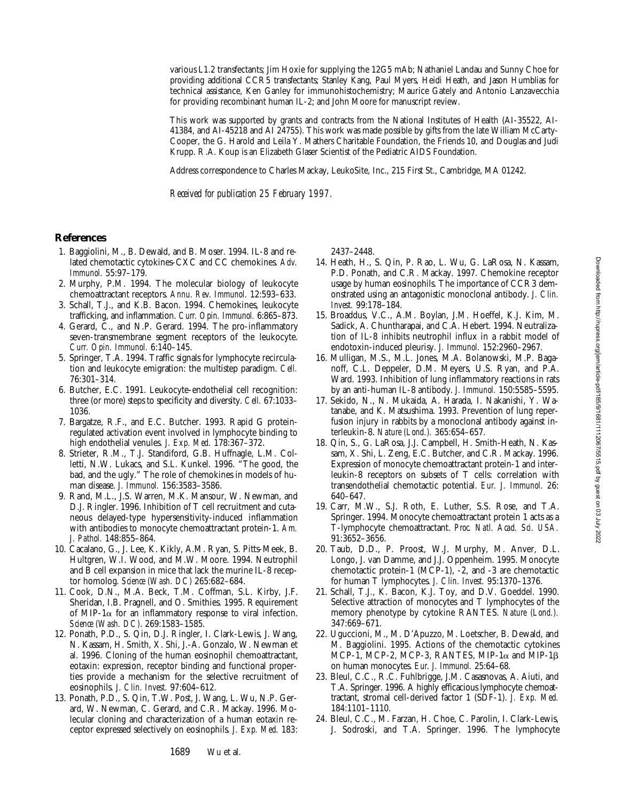various L1.2 transfectants; Jim Hoxie for supplying the 12G5 mAb; Nathaniel Landau and Sunny Choe for providing additional CCR5 transfectants; Stanley Kang, Paul Myers, Heidi Heath, and Jason Humblias for technical assistance, Ken Ganley for immunohistochemistry; Maurice Gately and Antonio Lanzavecchia for providing recombinant human IL-2; and John Moore for manuscript review.

This work was supported by grants and contracts from the National Institutes of Health (AI-35522, AI-41384, and AI-45218 and AI 24755). This work was made possible by gifts from the late William McCarty-Cooper, the G. Harold and Leila Y. Mathers Charitable Foundation, the Friends 10, and Douglas and Judi Krupp. R.A. Koup is an Elizabeth Glaser Scientist of the Pediatric AIDS Foundation.

Address correspondence to Charles Mackay, LeukoSite, Inc., 215 First St., Cambridge, MA 01242.

*Received for publication 25 February 1997.*

#### **References**

- 1. Baggiolini, M., B. Dewald, and B. Moser. 1994. IL-8 and related chemotactic cytokines-CXC and CC chemokines. *Adv. Immunol.* 55:97–179.
- 2. Murphy, P.M. 1994. The molecular biology of leukocyte chemoattractant receptors. *Annu. Rev. Immunol.* 12:593–633.
- 3. Schall, T.J., and K.B. Bacon. 1994. Chemokines, leukocyte trafficking, and inflammation. *Curr. Opin. Immunol.* 6:865–873.
- 4. Gerard, C., and N.P. Gerard. 1994. The pro-inflammatory seven-transmembrane segment receptors of the leukocyte. *Curr. Opin. Immunol.* 6:140–145.
- 5. Springer, T.A. 1994. Traffic signals for lymphocyte recirculation and leukocyte emigration: the multistep paradigm. *Cell.* 76:301–314.
- 6. Butcher, E.C. 1991. Leukocyte-endothelial cell recognition: three (or more) steps to specificity and diversity. *Cell.* 67:1033– 1036.
- 7. Bargatze, R.F., and E.C. Butcher. 1993. Rapid G proteinregulated activation event involved in lymphocyte binding to high endothelial venules. *J. Exp. Med.* 178:367–372.
- 8. Strieter, R.M., T.J. Standiford, G.B. Huffnagle, L.M. Colletti, N.W. Lukacs, and S.L. Kunkel. 1996. "The good, the bad, and the ugly." The role of chemokines in models of human disease. *J. Immunol.* 156:3583–3586.
- 9. Rand, M.L., J.S. Warren, M.K. Mansour, W. Newman, and D.J. Ringler. 1996. Inhibition of T cell recruitment and cutaneous delayed-type hypersensitivity-induced inflammation with antibodies to monocyte chemoattractant protein-1. *Am. J. Pathol.* 148:855–864.
- 10. Cacalano, G., J. Lee, K. Kikly, A.M. Ryan, S. Pitts-Meek, B. Hultgren, W.I. Wood, and M.W. Moore. 1994. Neutrophil and B cell expansion in mice that lack the murine IL-8 receptor homolog. *Science (Wash. DC)* 265:682–684.
- 11. Cook, D.N., M.A. Beck, T.M. Coffman, S.L. Kirby, J.F. Sheridan, I.B. Pragnell, and O. Smithies. 1995. Requirement of MIP-1 $\alpha$  for an inflammatory response to viral infection. *Science (Wash. DC)*. 269:1583–1585.
- 12. Ponath, P.D., S. Qin, D.J. Ringler, I. Clark-Lewis, J. Wang, N. Kassam, H. Smith, X. Shi, J.-A. Gonzalo, W. Newman et al. 1996. Cloning of the human eosinophil chemoattractant, eotaxin: expression, receptor binding and functional properties provide a mechanism for the selective recruitment of eosinophils. *J. Clin. Invest.* 97:604–612.
- 13. Ponath, P.D., S. Qin, T.W. Post, J. Wang, L. Wu, N.P. Gerard, W. Newman, C. Gerard, and C.R. Mackay. 1996. Molecular cloning and characterization of a human eotaxin receptor expressed selectively on eosinophils. *J. Exp. Med.* 183:

2437–2448.

- 14. Heath, H., S. Qin, P. Rao, L. Wu, G. LaRosa, N. Kassam, P.D. Ponath, and C.R. Mackay. 1997. Chemokine receptor usage by human eosinophils. The importance of CCR3 demonstrated using an antagonistic monoclonal antibody. *J. Clin. Invest.* 99:178–184.
- 15. Broaddus, V.C., A.M. Boylan, J.M. Hoeffel, K.J. Kim, M. Sadick, A. Chuntharapai, and C.A. Hebert. 1994. Neutralization of IL-8 inhibits neutrophil influx in a rabbit model of endotoxin-induced pleurisy. *J. Immunol.* 152:2960–2967.
- 16. Mulligan, M.S., M.L. Jones, M.A. Bolanowski, M.P. Baganoff, C.L. Deppeler, D.M. Meyers, U.S. Ryan, and P.A. Ward. 1993. Inhibition of lung inflammatory reactions in rats by an anti-human IL-8 antibody. *J. Immunol.* 150:5585–5595.
- 17. Sekido, N., N. Mukaida, A. Harada, I. Nakanishi, Y. Watanabe, and K. Matsushima. 1993. Prevention of lung reperfusion injury in rabbits by a monoclonal antibody against interleukin-8. *Nature (Lond.).* 365:654–657.
- 18. Qin, S., G. LaRosa, J.J. Campbell, H. Smith-Heath, N. Kassam, X. Shi, L. Zeng, E.C. Butcher, and C.R. Mackay. 1996. Expression of monocyte chemoattractant protein-1 and interleukin-8 receptors on subsets of T cells: correlation with transendothelial chemotactic potential. *Eur. J. Immunol.* 26: 640–647.
- 19. Carr, M.W., S.J. Roth, E. Luther, S.S. Rose, and T.A. Springer. 1994. Monocyte chemoattractant protein 1 acts as a T-lymphocyte chemoattractant. *Proc. Natl. Acad. Sci. USA.* 91:3652–3656.
- 20. Taub, D.D., P. Proost, W.J. Murphy, M. Anver, D.L. Longo, J. van Damme, and J.J. Oppenheim. 1995. Monocyte chemotactic protein-1 (MCP-1), -2, and -3 are chemotactic for human T lymphocytes. *J. Clin. Invest.* 95:1370–1376.
- 21. Schall, T.J., K. Bacon, K.J. Toy, and D.V. Goeddel. 1990. Selective attraction of monocytes and T lymphocytes of the memory phenotype by cytokine RANTES. *Nature (Lond.).* 347:669–671.
- 22. Uguccioni, M., M. D'Apuzzo, M. Loetscher, B. Dewald, and M. Baggiolini. 1995. Actions of the chemotactic cytokines MCP-1, MCP-2, MCP-3, RANTES, MIP-1 $\alpha$  and MIP-1 $\beta$ on human monocytes. *Eur. J. Immunol.* 25:64–68.
- 23. Bleul, C.C., R.C. Fuhlbrigge, J.M. Casasnovas, A. Aiuti, and T.A. Springer. 1996. A highly efficacious lymphocyte chemoattractant, stromal cell-derived factor 1 (SDF-1). *J. Exp. Med.* 184:1101–1110.
- 24. Bleul, C.C., M. Farzan, H. Choe, C. Parolin, I. Clark-Lewis, J. Sodroski, and T.A. Springer. 1996. The lymphocyte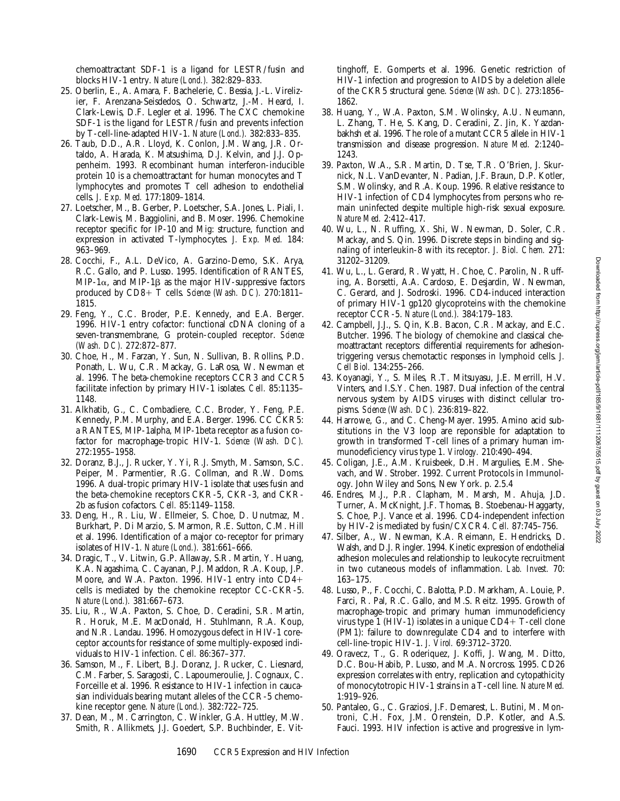chemoattractant SDF-1 is a ligand for LESTR/fusin and blocks HIV-1 entry. *Nature (Lond.).* 382:829–833.

- 25. Oberlin, E., A. Amara, F. Bachelerie, C. Bessia, J.-L. Virelizier, F. Arenzana-Seisdedos, O. Schwartz, J.-M. Heard, I. Clark-Lewis, D.F. Legler et al. 1996. The CXC chemokine SDF-1 is the ligand for LESTR/fusin and prevents infection by T-cell-line-adapted HIV-1. *Nature (Lond.).* 382:833–835.
- 26. Taub, D.D., A.R. Lloyd, K. Conlon, J.M. Wang, J.R. Ortaldo, A. Harada, K. Matsushima, D.J. Kelvin, and J.J. Oppenheim. 1993. Recombinant human interferon-inducible protein 10 is a chemoattractant for human monocytes and T lymphocytes and promotes T cell adhesion to endothelial cells. *J. Exp. Med.* 177:1809–1814.
- 27. Loetscher, M., B. Gerber, P. Loetscher, S.A. Jones, L. Piali, I. Clark-Lewis, M. Baggiolini, and B. Moser. 1996. Chemokine receptor specific for IP-10 and Mig: structure, function and expression in activated T-lymphocytes. *J. Exp. Med.* 184: 963–969.
- 28. Cocchi, F., A.L. DeVico, A. Garzino-Demo, S.K. Arya, R.C. Gallo, and P. Lusso. 1995. Identification of RANTES, MIP-1 $\alpha$ , and MIP-1 $\beta$  as the major HIV-suppressive factors produced by CD8+ T cells. *Science (Wash. DC).* 270:1811-1815.
- 29. Feng, Y., C.C. Broder, P.E. Kennedy, and E.A. Berger. 1996. HIV-1 entry cofactor: functional cDNA cloning of a seven-transmembrane, G protein-coupled receptor. *Science (Wash. DC).* 272:872–877.
- 30. Choe, H., M. Farzan, Y. Sun, N. Sullivan, B. Rollins, P.D. Ponath, L. Wu, C.R. Mackay, G. LaRosa, W. Newman et al. 1996. The beta-chemokine receptors CCR3 and CCR5 facilitate infection by primary HIV-1 isolates. *Cell.* 85:1135– 1148.
- 31. Alkhatib, G., C. Combadiere, C.C. Broder, Y. Feng, P.E. Kennedy, P.M. Murphy, and E.A. Berger. 1996. CC CKR5: a RANTES, MIP-1alpha, MIP-1beta receptor as a fusion cofactor for macrophage-tropic HIV-1. *Science (Wash. DC).* 272:1955–1958.
- 32. Doranz, B.J., J. Rucker, Y. Yi, R.J. Smyth, M. Samson, S.C. Peiper, M. Parmentier, R.G. Collman, and R.W. Doms. 1996. A dual-tropic primary HIV-1 isolate that uses fusin and the beta-chemokine receptors CKR-5, CKR-3, and CKR-2b as fusion cofactors. *Cell.* 85:1149–1158.
- 33. Deng, H., R. Liu, W. Ellmeier, S. Choe, D. Unutmaz, M. Burkhart, P. Di Marzio, S. Marmon, R.E. Sutton, C.M. Hill et al. 1996. Identification of a major co-receptor for primary isolates of HIV-1. *Nature (Lond.).* 381:661–666.
- 34. Dragic, T., V. Litwin, G.P. Allaway, S.R. Martin, Y. Huang, K.A. Nagashima, C. Cayanan, P.J. Maddon, R.A. Koup, J.P. Moore, and W.A. Paxton. 1996. HIV-1 entry into  $CD4+$ cells is mediated by the chemokine receptor CC-CKR-5. *Nature (Lond.).* 381:667–673.
- 35. Liu, R., W.A. Paxton, S. Choe, D. Ceradini, S.R. Martin, R. Horuk, M.E. MacDonald, H. Stuhlmann, R.A. Koup, and N.R. Landau. 1996. Homozygous defect in HIV-1 coreceptor accounts for resistance of some multiply-exposed individuals to HIV-1 infection. *Cell.* 86:367–377.
- 36. Samson, M., F. Libert, B.J. Doranz, J. Rucker, C. Liesnard, C.M. Farber, S. Saragosti, C. Lapoumeroulie, J. Cognaux, C. Forceille et al. 1996. Resistance to HIV-1 infection in caucasian individuals bearing mutant alleles of the CCR-5 chemokine receptor gene. *Nature (Lond.).* 382:722–725.
- 37. Dean, M., M. Carrington, C. Winkler, G.A. Huttley, M.W. Smith, R. Allikmets, J.J. Goedert, S.P. Buchbinder, E. Vit-

tinghoff, E. Gomperts et al. 1996. Genetic restriction of HIV-1 infection and progression to AIDS by a deletion allele of the CKR5 structural gene. *Science (Wash. DC).* 273:1856– 1862.

- 38. Huang, Y., W.A. Paxton, S.M. Wolinsky, A.U. Neumann, L. Zhang, T. He, S. Kang, D. Ceradini, Z. Jin, K. Yazdanbakhsh et al. 1996. The role of a mutant CCR5 allele in HIV-1 transmission and disease progression. *Nature Med.* 2:1240– 1243.
- 39. Paxton, W.A., S.R. Martin, D. Tse, T.R. O'Brien, J. Skurnick, N.L. VanDevanter, N. Padian, J.F. Braun, D.P. Kotler, S.M. Wolinsky, and R.A. Koup. 1996. Relative resistance to HIV-1 infection of CD4 lymphocytes from persons who remain uninfected despite multiple high-risk sexual exposure. *Nature Med.* 2:412–417.
- 40. Wu, L., N. Ruffing, X. Shi, W. Newman, D. Soler, C.R. Mackay, and S. Qin. 1996. Discrete steps in binding and signaling of interleukin-8 with its receptor. *J. Biol. Chem.* 271: 31202–31209.
- 41. Wu, L., L. Gerard, R. Wyatt, H. Choe, C. Parolin, N. Ruffing, A. Borsetti, A.A. Cardoso, E. Desjardin, W. Newman, C. Gerard, and J. Sodroski. 1996. CD4-induced interaction of primary HIV-1 gp120 glycoproteins with the chemokine receptor CCR-5. *Nature (Lond.).* 384:179–183.
- 42. Campbell, J.J., S. Qin, K.B. Bacon, C.R. Mackay, and E.C. Butcher. 1996. The biology of chemokine and classical chemoattractant receptors: differential requirements for adhesiontriggering versus chemotactic responses in lymphoid cells. *J. Cell Biol.* 134:255–266.
- 43. Koyanagi, Y., S. Miles, R.T. Mitsuyasu, J.E. Merrill, H.V. Vinters, and I.S.Y. Chen. 1987. Dual infection of the central nervous system by AIDS viruses with distinct cellular tropisms. *Science (Wash. DC).* 236:819–822.
- 44. Harrowe, G., and C. Cheng-Mayer. 1995. Amino acid substitutions in the V3 loop are reponsible for adaptation to growth in transformed T-cell lines of a primary human immunodeficiency virus type 1. *Virology.* 210:490–494.
- 45. Coligan, J.E., A.M. Kruisbeek, D.H. Margulies, E.M. Shevach, and W. Strober. 1992. Current Protocols in Immunology. John Wiley and Sons, New York. p. 2.5.4
- 46. Endres, M.J., P.R. Clapham, M. Marsh, M. Ahuja, J.D. Turner, A. McKnight, J.F. Thomas, B. Stoebenau-Haggarty, S. Choe, P.J. Vance et al. 1996. CD4-independent infection by HIV-2 is mediated by fusin/CXCR4. *Cell.* 87:745–756.
- 47. Silber, A., W. Newman, K.A. Reimann, E. Hendricks, D. Walsh, and D.J. Ringler. 1994. Kinetic expression of endothelial adhesion molecules and relationship to leukocyte recruitment in two cutaneous models of inflammation. *Lab. Invest.* 70: 163–175.
- 48. Lusso, P., F. Cocchi, C. Balotta, P.D. Markham, A. Louie, P. Farci, R. Pal, R.C. Gallo, and M.S. Reitz. 1995. Growth of macrophage-tropic and primary human immunodeficiency virus type 1 (HIV-1) isolates in a unique  $CD4+T$ -cell clone (PM1): failure to downregulate CD4 and to interfere with cell-line-tropic HIV-1. *J. Virol.* 69:3712–3720.
- 49. Oravecz, T., G. Roderiquez, J. Koffi, J. Wang, M. Ditto, D.C. Bou-Habib, P. Lusso, and M.A. Norcross. 1995. CD26 expression correlates with entry, replication and cytopathicity of monocytotropic HIV-1 strains in a T-cell line. *Nature Med.* 1:919–926.
- 50. Pantaleo, G., C. Graziosi, J.F. Demarest, L. Butini, M. Montroni, C.H. Fox, J.M. Orenstein, D.P. Kotler, and A.S. Fauci. 1993. HIV infection is active and progressive in lym-